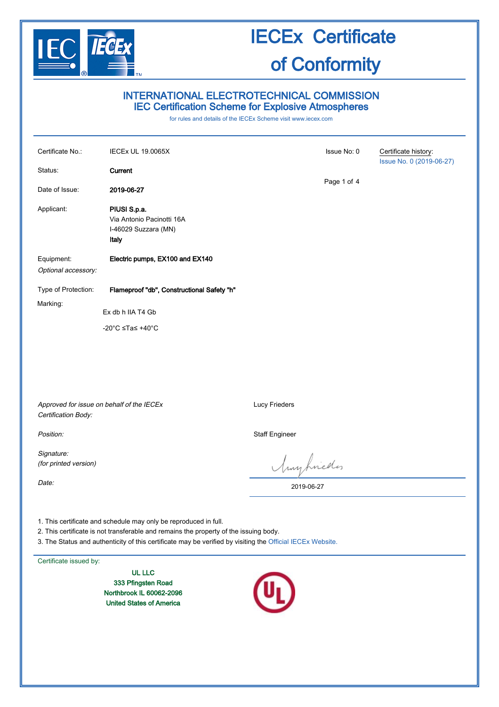

### INTERNATIONAL ELECTROTECHNICAL COMMISSION IEC Certification Scheme for Explosive Atmospheres

for rules and details of the IECEx Scheme visit [www.iecex.com](http://www.iecex.com/)

| Certificate No.:<br>Status:                                      | <b>IECEx UL 19.0065X</b><br>Current                                        | Issue No: 0<br>Page 1 of 4 | Certificate history:<br>Issue No. 0 (2019-06-27) |
|------------------------------------------------------------------|----------------------------------------------------------------------------|----------------------------|--------------------------------------------------|
| Date of Issue:                                                   | 2019-06-27                                                                 |                            |                                                  |
| Applicant:                                                       | PIUSI S.p.a.<br>Via Antonio Pacinotti 16A<br>I-46029 Suzzara (MN)<br>Italy |                            |                                                  |
| Equipment:<br>Optional accessory:                                | Electric pumps, EX100 and EX140                                            |                            |                                                  |
| Type of Protection:                                              | Flameproof "db", Constructional Safety "h"                                 |                            |                                                  |
| Marking:                                                         | Ex db h IIA T4 Gb                                                          |                            |                                                  |
|                                                                  | -20°C ≤Ta≤ +40°C                                                           |                            |                                                  |
|                                                                  |                                                                            |                            |                                                  |
| Approved for issue on behalf of the IECEx<br>Certification Body: |                                                                            | Lucy Frieders              |                                                  |
| Position:                                                        |                                                                            | <b>Staff Engineer</b>      |                                                  |
| Signature:<br>(for printed version)                              |                                                                            | Muyhriedes                 |                                                  |
| Date:                                                            |                                                                            | 2019-06-27                 |                                                  |

1. This certificate and schedule may only be reproduced in full.

2. This certificate is not transferable and remains the property of the issuing body.

3. The Status and authenticity of this certificate may be verified by visiting the [Official IECEx Website.](http://iecex.iec.ch/)

Certificate issued by:

UL LLC 333 Pfingsten Road Northbrook IL 60062-2096 United States of America

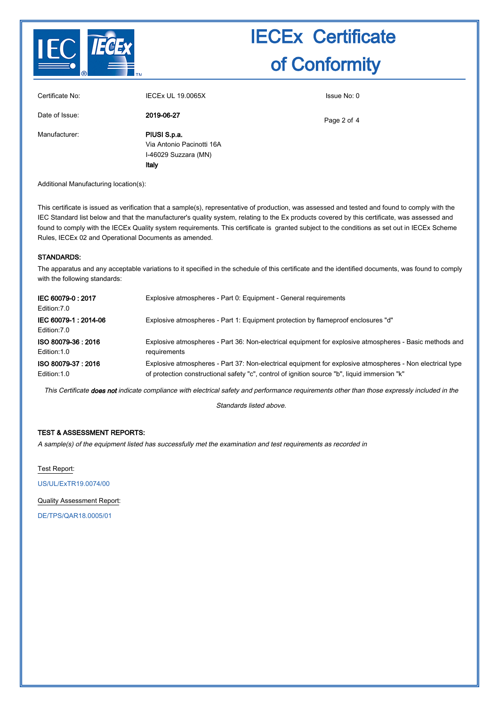

| Certificate No: | <b>IECEX UL 19.0065X</b>                                                   | Issue No: 0 |
|-----------------|----------------------------------------------------------------------------|-------------|
| Date of Issue:  | 2019-06-27                                                                 | Page 2 of 4 |
| Manufacturer:   | PIUSI S.p.a.<br>Via Antonio Pacinotti 16A<br>I-46029 Suzzara (MN)<br>Italy |             |

Additional Manufacturing location(s):

This certificate is issued as verification that a sample(s), representative of production, was assessed and tested and found to comply with the IEC Standard list below and that the manufacturer's quality system, relating to the Ex products covered by this certificate, was assessed and found to comply with the IECEx Quality system requirements. This certificate is granted subject to the conditions as set out in IECEx Scheme Rules, IECEx 02 and Operational Documents as amended.

#### STANDARDS:

The apparatus and any acceptable variations to it specified in the schedule of this certificate and the identified documents, was found to comply with the following standards:

| IEC 60079-0:2017<br>Edition: 7.0    | Explosive atmospheres - Part 0: Equipment - General requirements                                          |
|-------------------------------------|-----------------------------------------------------------------------------------------------------------|
| IEC 60079-1:2014-06<br>Edition: 7.0 | Explosive atmospheres - Part 1: Equipment protection by flameproof enclosures "d"                         |
| ISO 80079-36: 2016                  | Explosive atmospheres - Part 36: Non-electrical equipment for explosive atmospheres - Basic methods and   |
| Edition: 1.0                        | requirements                                                                                              |
| ISO 80079-37: 2016                  | Explosive atmospheres - Part 37: Non-electrical equipment for explosive atmospheres - Non electrical type |
| Edition: 1.0                        | of protection constructional safety "c", control of ignition source "b", liquid immersion "k"             |

This Certificate does not indicate compliance with electrical safety and performance requirements other than those expressly included in the

Standards listed above.

#### TEST & ASSESSMENT REPORTS:

A sample(s) of the equipment listed has successfully met the examination and test requirements as recorded in

Test Report:

[US/UL/ExTR19.0074/00](http://iecex.iec.ch/extr/US.UL.ExTR19.0074.00)

Quality Assessment Report:

[DE/TPS/QAR18.0005/01](http://iecex.iec.ch/qar/DE.TPS.QAR18.0005.01)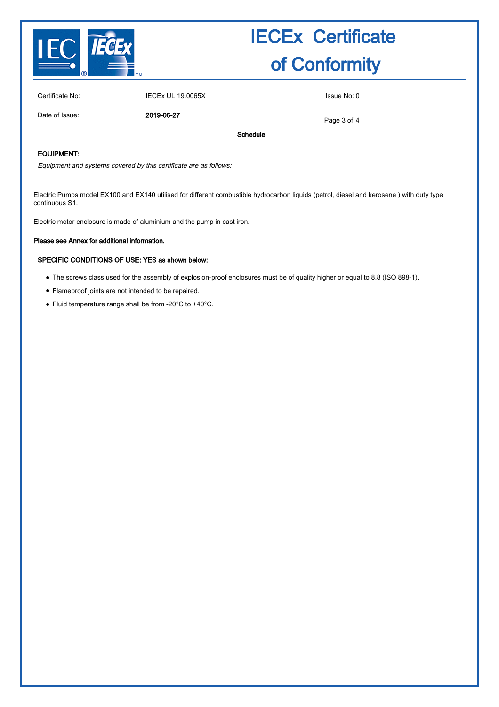

Certificate No: IECEx UL 19.0065X Issue No: 0

Date of Issue: 2019-06-27

Page 3 of 4

#### EQUIPMENT:

Equipment and systems covered by this certificate are as follows:

Electric Pumps model EX100 and EX140 utilised for different combustible hydrocarbon liquids (petrol, diesel and kerosene ) with duty type continuous S1.

Schedule

Electric motor enclosure is made of aluminium and the pump in cast iron.

#### Please see Annex for additional information.

#### SPECIFIC CONDITIONS OF USE: YES as shown below:

- The screws class used for the assembly of explosion-proof enclosures must be of quality higher or equal to 8.8 (ISO 898-1).
- Flameproof joints are not intended to be repaired.
- Fluid temperature range shall be from -20°C to +40°C.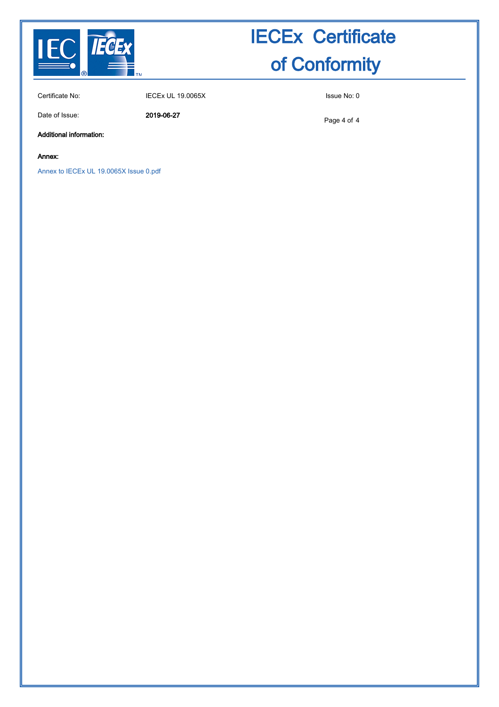

Certificate No: IECEx UL 19.0065X Issue No: 0

Date of Issue: 2019-06-27

Page 4 of 4

Additional information:

Annex:

[Annex to IECEx UL 19.0065X Issue 0.pdf](http://iecex.iec.ch/cert/IECExUL19.00650/$File/Annex to IECEx UL 19.0065X Issue 0.pdf)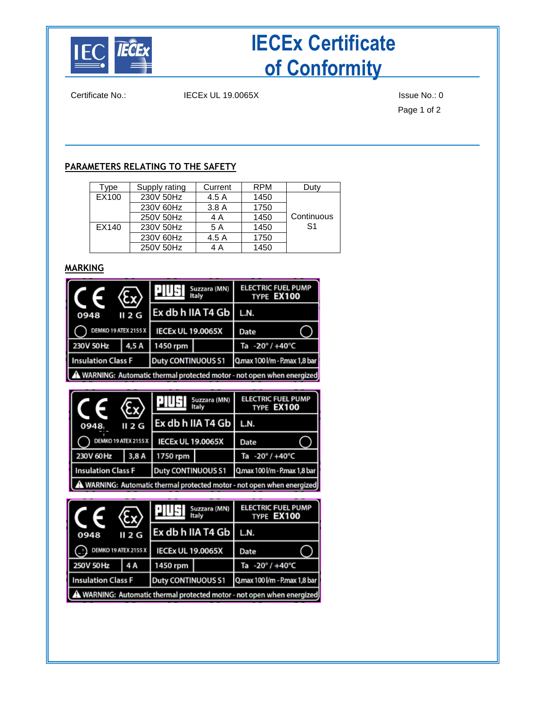

Certificate No.: IECEx UL 19.0065X ISSue No.: 0

Page 1 of 2

### **PARAMETERS RELATING TO THE SAFETY**

| Type  | Supply rating | Current | <b>RPM</b> | Duty       |
|-------|---------------|---------|------------|------------|
| EX100 | 230V 50Hz     | 4.5 A   | 1450       |            |
|       | 230V 60Hz     | 3.8A    | 1750       |            |
|       | 250V 50Hz     | 4 A     | 1450       | Continuous |
| EX140 | 230V 50Hz     | 5 A     | 1450       | S1         |
|       | 230V 60Hz     | 4.5 A   | 1750       |            |
|       | 250V 50Hz     | 4 A     | 1450       |            |

### **MARKING**

| <b>TELES</b>                                                           | (Ex)   | Suzzara (MN)<br>Italv    |               | <b>ELECTRIC FUEL PUMP</b><br>TYPE EX100 |  |
|------------------------------------------------------------------------|--------|--------------------------|---------------|-----------------------------------------|--|
| 0948                                                                   | II 2 G | Ex db h IIA T4 Gb        |               | L.N.                                    |  |
| DEMKO 19 ATEX 2155 X                                                   |        | <b>IECEx UL 19.0065X</b> |               | Date                                    |  |
| 230V 50Hz<br>1450 rpm<br>4,5 A                                         |        |                          | Ta -20°/+40°C |                                         |  |
| <b>Insulation Class F</b>                                              |        | Duty CONTINUOUS S1       |               | Q.max 100 l/m - P.max 1,8 bar           |  |
| A WARNING: Automatic thermal protected motor - not open when energized |        |                          |               |                                         |  |

| $\epsilon_{\rm x}$                                                    |        | Suzzara (MN)<br>Italy     |  | <b>ELECTRIC FUEL PUMP</b><br>TYPE EX100 |  |  |
|-----------------------------------------------------------------------|--------|---------------------------|--|-----------------------------------------|--|--|
| 0948                                                                  | II 2 G | Ex db h IIA T4 Gb         |  | L.N.                                    |  |  |
| <b>DEMKO 19 ATEX 2155 X</b>                                           |        | <b>IECEx UL 19.0065X</b>  |  | <b>Date</b>                             |  |  |
| 230V 60Hz                                                             | 3,8A   | 1750 rpm                  |  | Ta -20°/+40°C                           |  |  |
| <b>Insulation Class F</b>                                             |        | <b>Duty CONTINUOUS S1</b> |  | Q.max 100 l/m - P.max 1,8 bar           |  |  |
| WARNING: Automatic thermal protected motor - not open when energized! |        |                           |  |                                         |  |  |

| <b>TE</b>                                                              | $\langle \xi_{\rm X} \rangle$ | Suzzara (MN)<br>Italy<br>Ex db h IIA T4 Gb |               | <b>ELECTRIC FUEL PUMP</b><br>TYPE EX100 |  |  |
|------------------------------------------------------------------------|-------------------------------|--------------------------------------------|---------------|-----------------------------------------|--|--|
| 0948                                                                   | II 2 G                        |                                            |               | L.N.                                    |  |  |
| DEMKO 19 ATEX 2155 X                                                   |                               | <b>IECEx UL 19.0065X</b>                   |               | Date                                    |  |  |
| 250V 50Hz<br>4 A<br>1450 rpm                                           |                               |                                            | Ta -20°/+40°C |                                         |  |  |
| <b>Insulation Class F</b>                                              |                               | Duty CONTINUOUS S1                         |               | Q.max 100 l/m - P.max 1,8 bar           |  |  |
| A WARNING: Automatic thermal protected motor - not open when energized |                               |                                            |               |                                         |  |  |